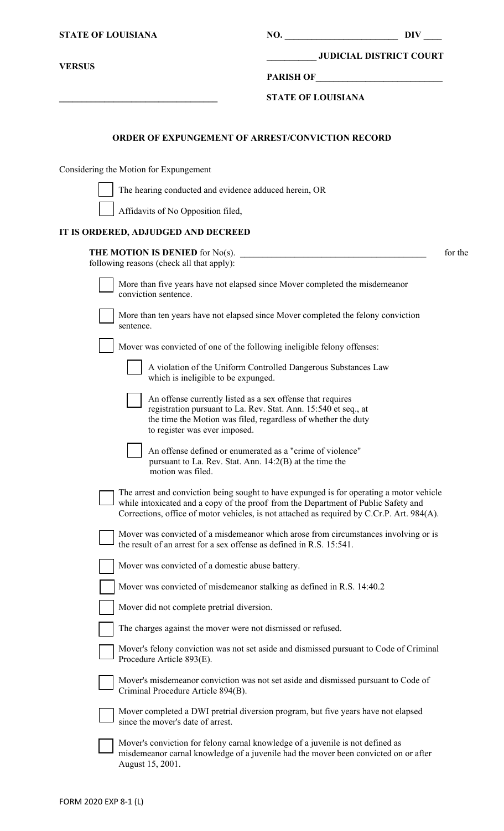| <b>STATE OF LOUISIANA</b> |                                                                                                                                                                                                                                                                              | NO.                       | <b>DIV</b>                     |         |
|---------------------------|------------------------------------------------------------------------------------------------------------------------------------------------------------------------------------------------------------------------------------------------------------------------------|---------------------------|--------------------------------|---------|
|                           |                                                                                                                                                                                                                                                                              |                           | <b>JUDICIAL DISTRICT COURT</b> |         |
| <b>VERSUS</b>             |                                                                                                                                                                                                                                                                              | PARISH OF                 |                                |         |
|                           |                                                                                                                                                                                                                                                                              | <b>STATE OF LOUISIANA</b> |                                |         |
|                           | <b>ORDER OF EXPUNGEMENT OF ARREST/CONVICTION RECORD</b>                                                                                                                                                                                                                      |                           |                                |         |
|                           | Considering the Motion for Expungement                                                                                                                                                                                                                                       |                           |                                |         |
|                           | The hearing conducted and evidence adduced herein, OR                                                                                                                                                                                                                        |                           |                                |         |
|                           | Affidavits of No Opposition filed,                                                                                                                                                                                                                                           |                           |                                |         |
|                           | IT IS ORDERED, ADJUDGED AND DECREED                                                                                                                                                                                                                                          |                           |                                |         |
|                           | THE MOTION IS DENIED for No(s).<br>following reasons (check all that apply):                                                                                                                                                                                                 |                           |                                | for the |
|                           | More than five years have not elapsed since Mover completed the misdemeanor<br>conviction sentence.                                                                                                                                                                          |                           |                                |         |
|                           | More than ten years have not elapsed since Mover completed the felony conviction<br>sentence.                                                                                                                                                                                |                           |                                |         |
|                           | Mover was convicted of one of the following ineligible felony offenses:                                                                                                                                                                                                      |                           |                                |         |
|                           | A violation of the Uniform Controlled Dangerous Substances Law<br>which is ineligible to be expunged.                                                                                                                                                                        |                           |                                |         |
|                           | An offense currently listed as a sex offense that requires<br>registration pursuant to La. Rev. Stat. Ann. 15:540 et seq., at<br>the time the Motion was filed, regardless of whether the duty<br>to register was ever imposed.                                              |                           |                                |         |
|                           | An offense defined or enumerated as a "crime of violence"<br>pursuant to La. Rev. Stat. Ann. $14:2(B)$ at the time the<br>motion was filed.                                                                                                                                  |                           |                                |         |
|                           | The arrest and conviction being sought to have expunged is for operating a motor vehicle<br>while intoxicated and a copy of the proof from the Department of Public Safety and<br>Corrections, office of motor vehicles, is not attached as required by C.Cr.P. Art. 984(A). |                           |                                |         |
|                           | Mover was convicted of a misdemeanor which arose from circumstances involving or is<br>the result of an arrest for a sex offense as defined in R.S. 15:541.                                                                                                                  |                           |                                |         |
|                           | Mover was convicted of a domestic abuse battery.                                                                                                                                                                                                                             |                           |                                |         |
|                           | Mover was convicted of misdemeanor stalking as defined in R.S. 14:40.2                                                                                                                                                                                                       |                           |                                |         |
|                           | Mover did not complete pretrial diversion.                                                                                                                                                                                                                                   |                           |                                |         |
|                           | The charges against the mover were not dismissed or refused.                                                                                                                                                                                                                 |                           |                                |         |
|                           | Mover's felony conviction was not set aside and dismissed pursuant to Code of Criminal<br>Procedure Article 893(E).                                                                                                                                                          |                           |                                |         |
|                           | Mover's misdemeanor conviction was not set aside and dismissed pursuant to Code of<br>Criminal Procedure Article 894(B).                                                                                                                                                     |                           |                                |         |
|                           | Mover completed a DWI pretrial diversion program, but five years have not elapsed<br>since the mover's date of arrest.                                                                                                                                                       |                           |                                |         |
|                           | Mover's conviction for felony carnal knowledge of a juvenile is not defined as<br>misdemeanor carnal knowledge of a juvenile had the mover been convicted on or after<br>August 15, 2001.                                                                                    |                           |                                |         |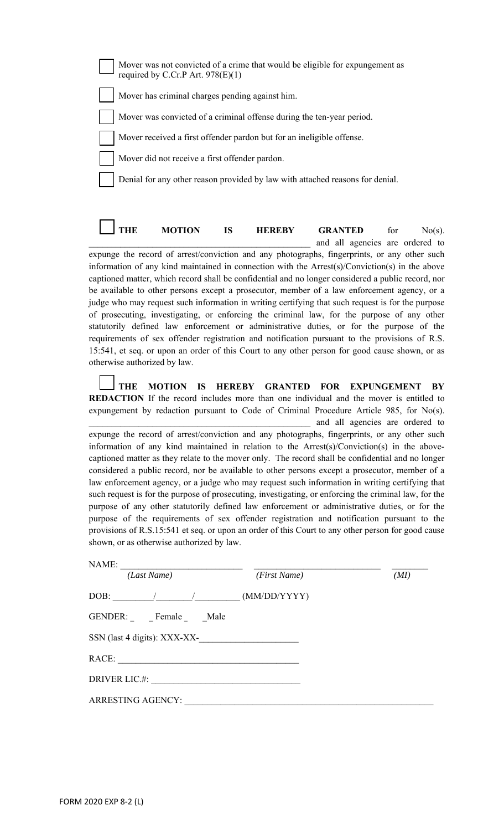| Mover was not convicted of a crime that would be eligible for expungement as<br>required by C.Cr.P Art. $978(E)(1)$ |
|---------------------------------------------------------------------------------------------------------------------|
| Mover has criminal charges pending against him.                                                                     |
| Mover was convicted of a criminal offense during the ten-year period.                                               |
| Mover received a first offender pardon but for an ineligible offense.                                               |
| Mover did not receive a first offender pardon.                                                                      |
| Denial for any other reason provided by law with attached reasons for denial.                                       |
|                                                                                                                     |

**THE MOTION IS HEREBY GRANTED** for No(s). \_\_\_\_\_\_\_\_\_\_\_\_\_\_\_\_\_\_\_\_\_\_\_\_\_\_\_\_\_\_\_\_\_\_\_\_\_\_\_\_\_\_\_\_\_\_\_\_\_ and all agencies are ordered to expunge the record of arrest/conviction and any photographs, fingerprints, or any other such information of any kind maintained in connection with the Arrest(s)/Conviction(s) in the above captioned matter, which record shall be confidential and no longer considered a public record, nor be available to other persons except a prosecutor, member of a law enforcement agency, or a judge who may request such information in writing certifying that such request is for the purpose of prosecuting, investigating, or enforcing the criminal law, for the purpose of any other statutorily defined law enforcement or administrative duties, or for the purpose of the requirements of sex offender registration and notification pursuant to the provisions of R.S. 15:541, et seq. or upon an order of this Court to any other person for good cause shown, or as otherwise authorized by law.

**THE MOTION IS HEREBY GRANTED FOR EXPUNGEMENT BY REDACTION** If the record includes more than one individual and the mover is entitled to expungement by redaction pursuant to Code of Criminal Procedure Article 985, for No(s). \_\_\_\_\_\_\_\_\_\_\_\_\_\_\_\_\_\_\_\_\_\_\_\_\_\_\_\_\_\_\_\_\_\_\_\_\_\_\_\_\_\_\_\_\_\_\_\_\_ and all agencies are ordered to

expunge the record of arrest/conviction and any photographs, fingerprints, or any other such information of any kind maintained in relation to the Arrest(s)/Conviction(s) in the abovecaptioned matter as they relate to the mover only. The record shall be confidential and no longer considered a public record, nor be available to other persons except a prosecutor, member of a law enforcement agency, or a judge who may request such information in writing certifying that such request is for the purpose of prosecuting, investigating, or enforcing the criminal law, for the purpose of any other statutorily defined law enforcement or administrative duties, or for the purpose of the requirements of sex offender registration and notification pursuant to the provisions of R.S.15:541 et seq. or upon an order of this Court to any other person for good cause shown, or as otherwise authorized by law.

| NAME:                        |              |      |
|------------------------------|--------------|------|
| (Last Name)                  | (First Name) | (MI) |
|                              | (MM/DD/YYYY) |      |
| GENDER: Female Male          |              |      |
| SSN (last 4 digits): XXX-XX- |              |      |
| RACE:                        |              |      |
| DRIVER LIC.#:                |              |      |
| <b>ARRESTING AGENCY:</b>     |              |      |